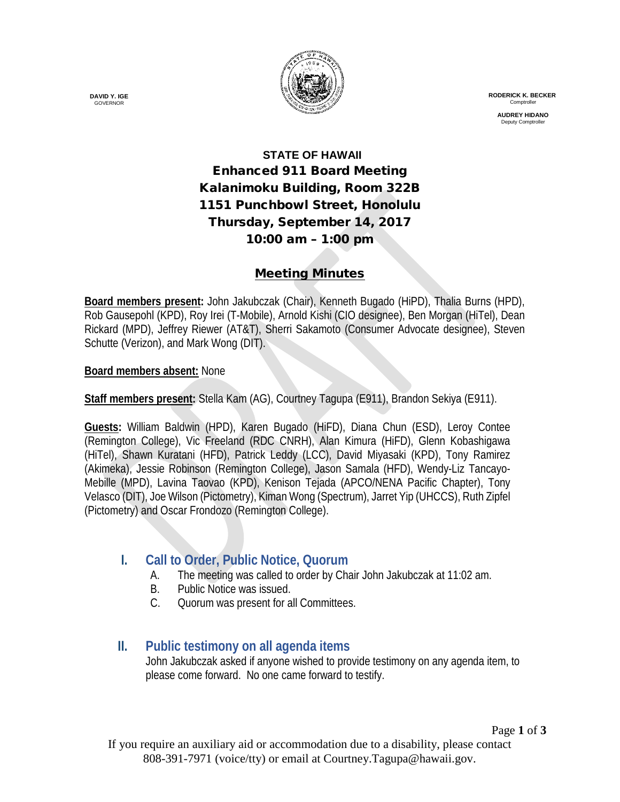

 **RODERICK K. BECKER** Comptrolle

> **AUDREY HIDANO** Deputy Comptrolle

# **STATE OF HAWAII** Enhanced 911 Board Meeting Kalanimoku Building, Room 322B 1151 Punchbowl Street, Honolulu Thursday, September 14, 2017 10:00 am – 1:00 pm

#### Meeting Minutes

**Board members present:** John Jakubczak (Chair), Kenneth Bugado (HiPD), Thalia Burns (HPD), Rob Gausepohl (KPD), Roy Irei (T-Mobile), Arnold Kishi (CIO designee), Ben Morgan (HiTel), Dean Rickard (MPD), Jeffrey Riewer (AT&T), Sherri Sakamoto (Consumer Advocate designee), Steven Schutte (Verizon), and Mark Wong (DIT).

**Board members absent:** None

**Staff members present:** Stella Kam (AG), Courtney Tagupa (E911), Brandon Sekiya (E911).

**Guests:** William Baldwin (HPD), Karen Bugado (HiFD), Diana Chun (ESD), Leroy Contee (Remington College), Vic Freeland (RDC CNRH), Alan Kimura (HiFD), Glenn Kobashigawa (HiTel), Shawn Kuratani (HFD), Patrick Leddy (LCC), David Miyasaki (KPD), Tony Ramirez (Akimeka), Jessie Robinson (Remington College), Jason Samala (HFD), Wendy-Liz Tancayo-Mebille (MPD), Lavina Taovao (KPD), Kenison Tejada (APCO/NENA Pacific Chapter), Tony Velasco (DIT), Joe Wilson (Pictometry), Kiman Wong (Spectrum), Jarret Yip (UHCCS), Ruth Zipfel (Pictometry) and Oscar Frondozo (Remington College).

# **I. Call to Order, Public Notice, Quorum**

- A. The meeting was called to order by Chair John Jakubczak at 11:02 am.
- B. Public Notice was issued.
- C. Quorum was present for all Committees.

# **II. Public testimony on all agenda items**

John Jakubczak asked if anyone wished to provide testimony on any agenda item, to please come forward. No one came forward to testify.

**DAVID Y. IGE** GOVERNOR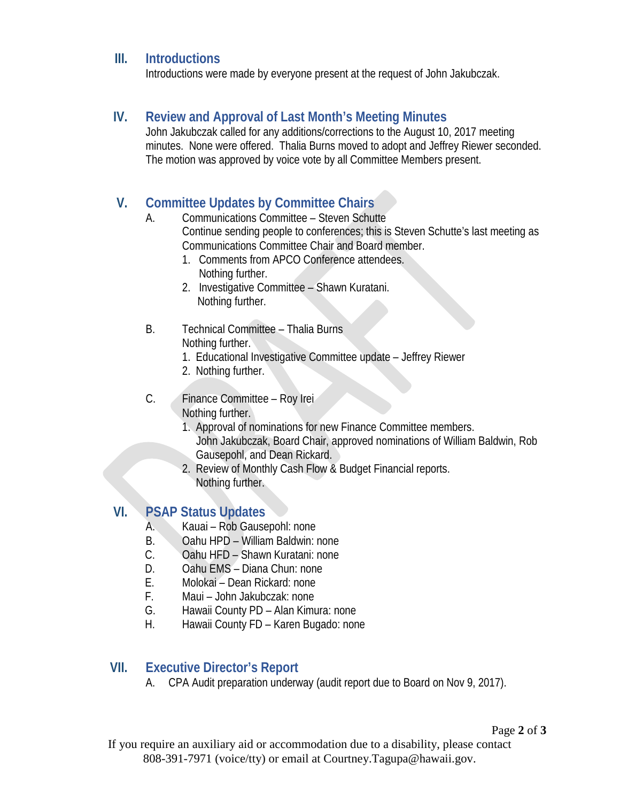#### **III. Introductions**

Introductions were made by everyone present at the request of John Jakubczak.

#### **IV. Review and Approval of Last Month's Meeting Minutes**

John Jakubczak called for any additions/corrections to the August 10, 2017 meeting minutes. None were offered. Thalia Burns moved to adopt and Jeffrey Riewer seconded. The motion was approved by voice vote by all Committee Members present.

# **V. Committee Updates by Committee Chairs**

- A. Communications Committee Steven Schutte Continue sending people to conferences; this is Steven Schutte's last meeting as Communications Committee Chair and Board member.
	- 1. Comments from APCO Conference attendees. Nothing further.
	- 2. Investigative Committee Shawn Kuratani. Nothing further.
- B. Technical Committee Thalia Burns Nothing further.
	- 1. Educational Investigative Committee update Jeffrey Riewer
	- 2. Nothing further.
- C. Finance Committee Roy Irei Nothing further.
	- 1. Approval of nominations for new Finance Committee members. John Jakubczak, Board Chair, approved nominations of William Baldwin, Rob Gausepohl, and Dean Rickard.
	- 2. Review of Monthly Cash Flow & Budget Financial reports. Nothing further.

# **VI. PSAP Status Updates**

- A. Kauai Rob Gausepohl: none
- B. Oahu HPD William Baldwin: none
- C. Oahu HFD Shawn Kuratani: none
- D. Oahu EMS Diana Chun: none
- E. Molokai Dean Rickard: none
- F. Maui John Jakubczak: none
- G. Hawaii County PD Alan Kimura: none
- H. Hawaii County FD Karen Bugado: none

#### **VII. Executive Director's Report**

A. CPA Audit preparation underway (audit report due to Board on Nov 9, 2017).

If you require an auxiliary aid or accommodation due to a disability, please contact 808-391-7971 (voice/tty) or email at Courtney.Tagupa@hawaii.gov.